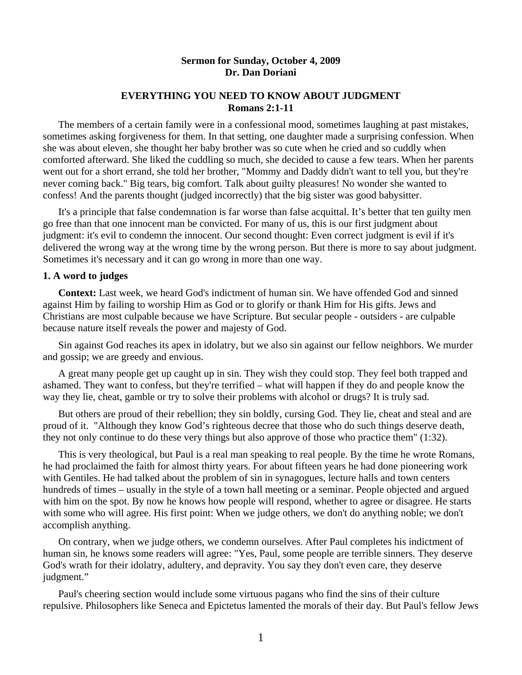## **Sermon for Sunday, October 4, 2009 Dr. Dan Doriani**

## **EVERYTHING YOU NEED TO KNOW ABOUT JUDGMENT Romans 2:1-11**

 The members of a certain family were in a confessional mood, sometimes laughing at past mistakes, sometimes asking forgiveness for them. In that setting, one daughter made a surprising confession. When she was about eleven, she thought her baby brother was so cute when he cried and so cuddly when comforted afterward. She liked the cuddling so much, she decided to cause a few tears. When her parents went out for a short errand, she told her brother, "Mommy and Daddy didn't want to tell you, but they're never coming back." Big tears, big comfort. Talk about guilty pleasures! No wonder she wanted to confess! And the parents thought (judged incorrectly) that the big sister was good babysitter.

 It's a principle that false condemnation is far worse than false acquittal. It's better that ten guilty men go free than that one innocent man be convicted. For many of us, this is our first judgment about judgment: it's evil to condemn the innocent. Our second thought: Even correct judgment is evil if it's delivered the wrong way at the wrong time by the wrong person. But there is more to say about judgment. Sometimes it's necessary and it can go wrong in more than one way.

### **1. A word to judges**

 **Context:** Last week, we heard God's indictment of human sin. We have offended God and sinned against Him by failing to worship Him as God or to glorify or thank Him for His gifts. Jews and Christians are most culpable because we have Scripture. But secular people - outsiders - are culpable because nature itself reveals the power and majesty of God.

 Sin against God reaches its apex in idolatry, but we also sin against our fellow neighbors. We murder and gossip; we are greedy and envious.

 A great many people get up caught up in sin. They wish they could stop. They feel both trapped and ashamed. They want to confess, but they're terrified – what will happen if they do and people know the way they lie, cheat, gamble or try to solve their problems with alcohol or drugs? It is truly sad.

 But others are proud of their rebellion; they sin boldly, cursing God. They lie, cheat and steal and are proud of it. "Although they know God's righteous decree that those who do such things deserve death, they not only continue to do these very things but also approve of those who practice them" (1:32).

 This is very theological, but Paul is a real man speaking to real people. By the time he wrote Romans, he had proclaimed the faith for almost thirty years. For about fifteen years he had done pioneering work with Gentiles. He had talked about the problem of sin in synagogues, lecture halls and town centers hundreds of times – usually in the style of a town hall meeting or a seminar. People objected and argued with him on the spot. By now he knows how people will respond, whether to agree or disagree. He starts with some who will agree. His first point: When we judge others, we don't do anything noble; we don't accomplish anything.

 On contrary, when we judge others, we condemn ourselves. After Paul completes his indictment of human sin, he knows some readers will agree: "Yes, Paul, some people are terrible sinners. They deserve God's wrath for their idolatry, adultery, and depravity. You say they don't even care, they deserve judgment."

 Paul's cheering section would include some virtuous pagans who find the sins of their culture repulsive. Philosophers like Seneca and Epictetus lamented the morals of their day. But Paul's fellow Jews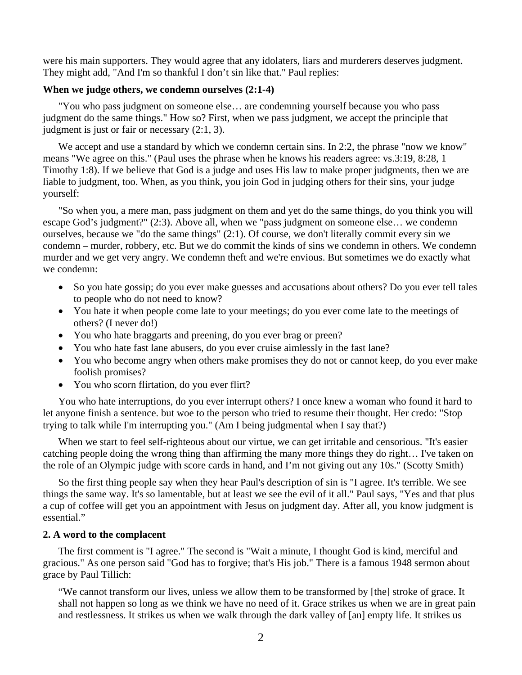were his main supporters. They would agree that any idolaters, liars and murderers deserves judgment. They might add, "And I'm so thankful I don't sin like that." Paul replies:

# **When we judge others, we condemn ourselves (2:1-4)**

 "You who pass judgment on someone else… are condemning yourself because you who pass judgment do the same things." How so? First, when we pass judgment, we accept the principle that judgment is just or fair or necessary (2:1, 3).

We accept and use a standard by which we condemn certain sins. In 2:2, the phrase "now we know" means "We agree on this." (Paul uses the phrase when he knows his readers agree: vs.3:19, 8:28, 1 Timothy 1:8). If we believe that God is a judge and uses His law to make proper judgments, then we are liable to judgment, too. When, as you think, you join God in judging others for their sins, your judge yourself:

 "So when you, a mere man, pass judgment on them and yet do the same things, do you think you will escape God's judgment?" (2:3). Above all, when we "pass judgment on someone else… we condemn ourselves, because we "do the same things" (2:1). Of course, we don't literally commit every sin we condemn – murder, robbery, etc. But we do commit the kinds of sins we condemn in others. We condemn murder and we get very angry. We condemn theft and we're envious. But sometimes we do exactly what we condemn:

- So you hate gossip; do you ever make guesses and accusations about others? Do you ever tell tales to people who do not need to know?
- You hate it when people come late to your meetings; do you ever come late to the meetings of others? (I never do!)
- You who hate braggarts and preening, do you ever brag or preen?
- You who hate fast lane abusers, do you ever cruise aimlessly in the fast lane?
- You who become angry when others make promises they do not or cannot keep, do you ever make foolish promises?
- You who scorn flirtation, do you ever flirt?

 You who hate interruptions, do you ever interrupt others? I once knew a woman who found it hard to let anyone finish a sentence. but woe to the person who tried to resume their thought. Her credo: "Stop trying to talk while I'm interrupting you." (Am I being judgmental when I say that?)

 When we start to feel self-righteous about our virtue, we can get irritable and censorious. "It's easier catching people doing the wrong thing than affirming the many more things they do right… I've taken on the role of an Olympic judge with score cards in hand, and I'm not giving out any 10s." (Scotty Smith)

 So the first thing people say when they hear Paul's description of sin is "I agree. It's terrible. We see things the same way. It's so lamentable, but at least we see the evil of it all." Paul says, "Yes and that plus a cup of coffee will get you an appointment with Jesus on judgment day. After all, you know judgment is essential."

## **2. A word to the complacent**

 The first comment is "I agree." The second is "Wait a minute, I thought God is kind, merciful and gracious." As one person said "God has to forgive; that's His job." There is a famous 1948 sermon about grace by Paul Tillich:

"We cannot transform our lives, unless we allow them to be transformed by [the] stroke of grace. It shall not happen so long as we think we have no need of it. Grace strikes us when we are in great pain and restlessness. It strikes us when we walk through the dark valley of [an] empty life. It strikes us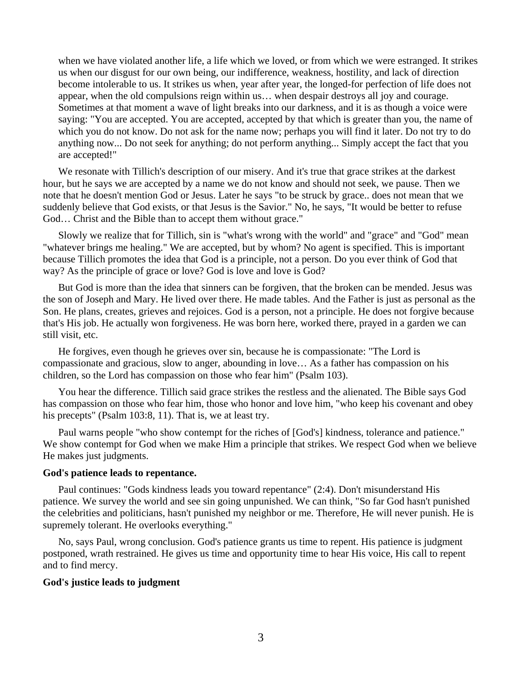when we have violated another life, a life which we loved, or from which we were estranged. It strikes us when our disgust for our own being, our indifference, weakness, hostility, and lack of direction become intolerable to us. It strikes us when, year after year, the longed-for perfection of life does not appear, when the old compulsions reign within us… when despair destroys all joy and courage. Sometimes at that moment a wave of light breaks into our darkness, and it is as though a voice were saying: "You are accepted. You are accepted, accepted by that which is greater than you, the name of which you do not know. Do not ask for the name now; perhaps you will find it later. Do not try to do anything now... Do not seek for anything; do not perform anything... Simply accept the fact that you are accepted!"

 We resonate with Tillich's description of our misery. And it's true that grace strikes at the darkest hour, but he says we are accepted by a name we do not know and should not seek, we pause. Then we note that he doesn't mention God or Jesus. Later he says "to be struck by grace.. does not mean that we suddenly believe that God exists, or that Jesus is the Savior." No, he says, "It would be better to refuse God… Christ and the Bible than to accept them without grace."

 Slowly we realize that for Tillich, sin is "what's wrong with the world" and "grace" and "God" mean "whatever brings me healing." We are accepted, but by whom? No agent is specified. This is important because Tillich promotes the idea that God is a principle, not a person. Do you ever think of God that way? As the principle of grace or love? God is love and love is God?

 But God is more than the idea that sinners can be forgiven, that the broken can be mended. Jesus was the son of Joseph and Mary. He lived over there. He made tables. And the Father is just as personal as the Son. He plans, creates, grieves and rejoices. God is a person, not a principle. He does not forgive because that's His job. He actually won forgiveness. He was born here, worked there, prayed in a garden we can still visit, etc.

 He forgives, even though he grieves over sin, because he is compassionate: "The Lord is compassionate and gracious, slow to anger, abounding in love… As a father has compassion on his children, so the Lord has compassion on those who fear him" (Psalm 103).

 You hear the difference. Tillich said grace strikes the restless and the alienated. The Bible says God has compassion on those who fear him, those who honor and love him, "who keep his covenant and obey his precepts" (Psalm 103:8, 11). That is, we at least try.

 Paul warns people "who show contempt for the riches of [God's] kindness, tolerance and patience." We show contempt for God when we make Him a principle that strikes. We respect God when we believe He makes just judgments.

#### **God's patience leads to repentance.**

 Paul continues: "Gods kindness leads you toward repentance" (2:4). Don't misunderstand His patience. We survey the world and see sin going unpunished. We can think, "So far God hasn't punished the celebrities and politicians, hasn't punished my neighbor or me. Therefore, He will never punish. He is supremely tolerant. He overlooks everything."

 No, says Paul, wrong conclusion. God's patience grants us time to repent. His patience is judgment postponed, wrath restrained. He gives us time and opportunity time to hear His voice, His call to repent and to find mercy.

### **God's justice leads to judgment**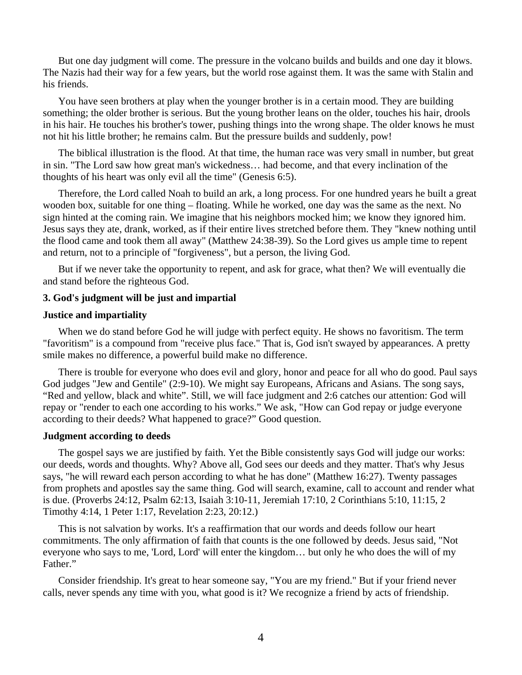But one day judgment will come. The pressure in the volcano builds and builds and one day it blows. The Nazis had their way for a few years, but the world rose against them. It was the same with Stalin and his friends.

 You have seen brothers at play when the younger brother is in a certain mood. They are building something; the older brother is serious. But the young brother leans on the older, touches his hair, drools in his hair. He touches his brother's tower, pushing things into the wrong shape. The older knows he must not hit his little brother; he remains calm. But the pressure builds and suddenly, pow!

 The biblical illustration is the flood. At that time, the human race was very small in number, but great in sin. "The Lord saw how great man's wickedness… had become, and that every inclination of the thoughts of his heart was only evil all the time" (Genesis 6:5).

 Therefore, the Lord called Noah to build an ark, a long process. For one hundred years he built a great wooden box, suitable for one thing – floating. While he worked, one day was the same as the next. No sign hinted at the coming rain. We imagine that his neighbors mocked him; we know they ignored him. Jesus says they ate, drank, worked, as if their entire lives stretched before them. They "knew nothing until the flood came and took them all away" (Matthew 24:38-39). So the Lord gives us ample time to repent and return, not to a principle of "forgiveness", but a person, the living God.

 But if we never take the opportunity to repent, and ask for grace, what then? We will eventually die and stand before the righteous God.

### **3. God's judgment will be just and impartial**

#### **Justice and impartiality**

 When we do stand before God he will judge with perfect equity. He shows no favoritism. The term "favoritism" is a compound from "receive plus face." That is, God isn't swayed by appearances. A pretty smile makes no difference, a powerful build make no difference.

 There is trouble for everyone who does evil and glory, honor and peace for all who do good. Paul says God judges "Jew and Gentile" (2:9-10). We might say Europeans, Africans and Asians. The song says, "Red and yellow, black and white". Still, we will face judgment and 2:6 catches our attention: God will repay or "render to each one according to his works." We ask, "How can God repay or judge everyone according to their deeds? What happened to grace?" Good question.

#### **Judgment according to deeds**

 The gospel says we are justified by faith. Yet the Bible consistently says God will judge our works: our deeds, words and thoughts. Why? Above all, God sees our deeds and they matter. That's why Jesus says, "he will reward each person according to what he has done" (Matthew 16:27). Twenty passages from prophets and apostles say the same thing. God will search, examine, call to account and render what is due. (Proverbs 24:12, Psalm 62:13, Isaiah 3:10-11, Jeremiah 17:10, 2 Corinthians 5:10, 11:15, 2 Timothy 4:14, 1 Peter 1:17, Revelation 2:23, 20:12.)

 This is not salvation by works. It's a reaffirmation that our words and deeds follow our heart commitments. The only affirmation of faith that counts is the one followed by deeds. Jesus said, "Not everyone who says to me, 'Lord, Lord' will enter the kingdom… but only he who does the will of my Father."

 Consider friendship. It's great to hear someone say, "You are my friend." But if your friend never calls, never spends any time with you, what good is it? We recognize a friend by acts of friendship.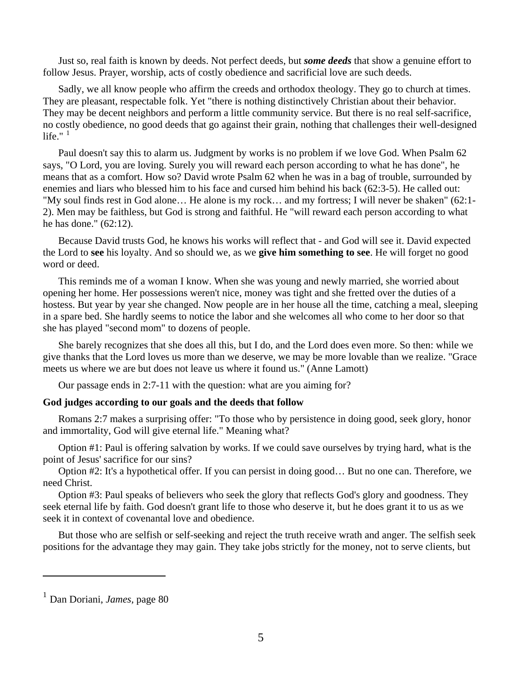Just so, real faith is known by deeds. Not perfect deeds, but *some deeds* that show a genuine effort to follow Jesus. Prayer, worship, acts of costly obedience and sacrificial love are such deeds.

 Sadly, we all know people who affirm the creeds and orthodox theology. They go to church at times. They are pleasant, respectable folk. Yet "there is nothing distinctively Christian about their behavior. They may be decent neighbors and perform a little community service. But there is no real self-sacrifice, no costly obedience, no good deeds that go against their grain, nothing that challenges their well-designed life." $1$ 

 Paul doesn't say this to alarm us. Judgment by works is no problem if we love God. When Psalm 62 says, "O Lord, you are loving. Surely you will reward each person according to what he has done", he means that as a comfort. How so? David wrote Psalm 62 when he was in a bag of trouble, surrounded by enemies and liars who blessed him to his face and cursed him behind his back (62:3-5). He called out: "My soul finds rest in God alone… He alone is my rock… and my fortress; I will never be shaken" (62:1- 2). Men may be faithless, but God is strong and faithful. He "will reward each person according to what he has done." (62:12).

 Because David trusts God, he knows his works will reflect that - and God will see it. David expected the Lord to **see** his loyalty. And so should we, as we **give him something to see**. He will forget no good word or deed.

 This reminds me of a woman I know. When she was young and newly married, she worried about opening her home. Her possessions weren't nice, money was tight and she fretted over the duties of a hostess. But year by year she changed. Now people are in her house all the time, catching a meal, sleeping in a spare bed. She hardly seems to notice the labor and she welcomes all who come to her door so that she has played "second mom" to dozens of people.

 She barely recognizes that she does all this, but I do, and the Lord does even more. So then: while we give thanks that the Lord loves us more than we deserve, we may be more lovable than we realize. "Grace meets us where we are but does not leave us where it found us." (Anne Lamott)

Our passage ends in 2:7-11 with the question: what are you aiming for?

### **God judges according to our goals and the deeds that follow**

 Romans 2:7 makes a surprising offer: "To those who by persistence in doing good, seek glory, honor and immortality, God will give eternal life." Meaning what?

 Option #1: Paul is offering salvation by works. If we could save ourselves by trying hard, what is the point of Jesus' sacrifice for our sins?

 Option #2: It's a hypothetical offer. If you can persist in doing good… But no one can. Therefore, we need Christ.

 Option #3: Paul speaks of believers who seek the glory that reflects God's glory and goodness. They seek eternal life by faith. God doesn't grant life to those who deserve it, but he does grant it to us as we seek it in context of covenantal love and obedience.

 But those who are selfish or self-seeking and reject the truth receive wrath and anger. The selfish seek positions for the advantage they may gain. They take jobs strictly for the money, not to serve clients, but

l

<span id="page-4-0"></span><sup>1</sup> Dan Doriani, *James,* page 80